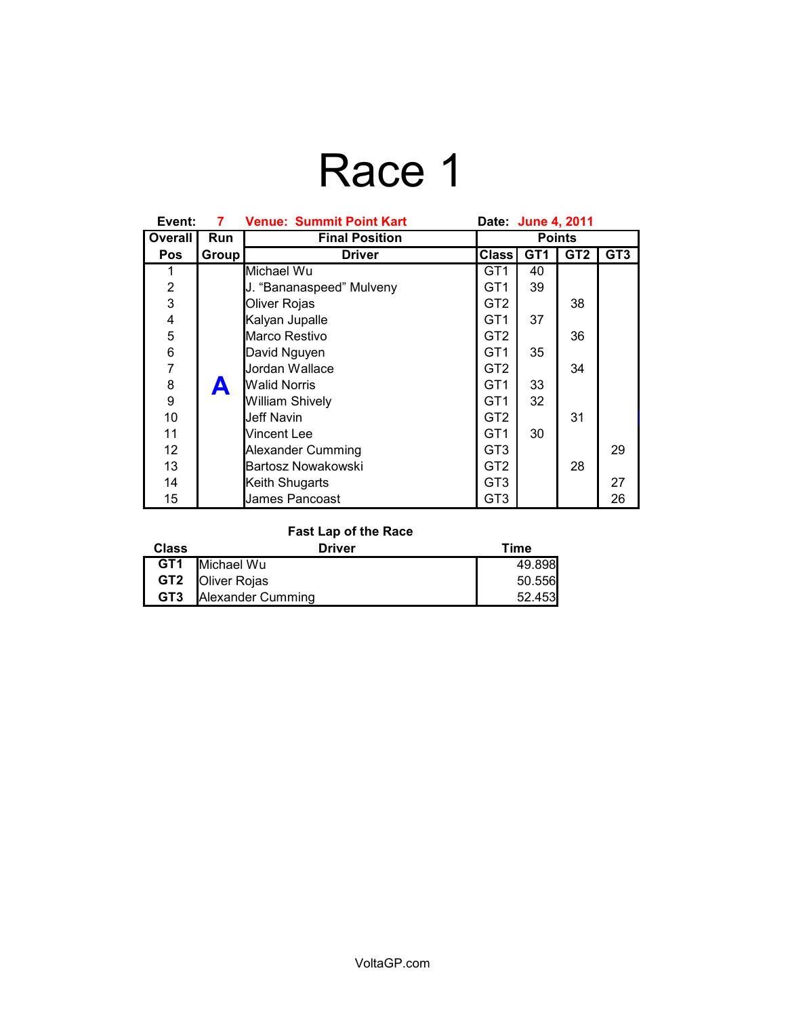# Race 1

| Event:         | 7     | <b>Venue: Summit Point Kart</b> | Date: June 4, 2011 |                 |                 |     |
|----------------|-------|---------------------------------|--------------------|-----------------|-----------------|-----|
| Overall        | Run   | <b>Final Position</b>           | <b>Points</b>      |                 |                 |     |
| <b>Pos</b>     | Group | <b>Driver</b>                   | <b>Class</b>       | GT <sub>1</sub> | GT <sub>2</sub> | GT3 |
| 1              |       | Michael Wu                      | GT <sub>1</sub>    | 40              |                 |     |
| $\overline{2}$ |       | J. "Bananaspeed" Mulveny        | GT <sub>1</sub>    | 39              |                 |     |
| $\overline{3}$ |       | Oliver Rojas                    | GT <sub>2</sub>    |                 | 38              |     |
| 4              |       | Kalyan Jupalle                  | GT <sub>1</sub>    | 37              |                 |     |
| 5              |       | Marco Restivo                   | GT <sub>2</sub>    |                 | 36              |     |
| $\frac{6}{7}$  |       | David Nguyen                    | GT1                | 35              |                 |     |
|                |       | Jordan Wallace                  | GT <sub>2</sub>    |                 | 34              |     |
| 8              | A     | <b>Walid Norris</b>             | GT <sub>1</sub>    | 33              |                 |     |
| 9              |       | William Shively                 | GT <sub>1</sub>    | 32              |                 |     |
| 10             |       | Jeff Navin                      | GT <sub>2</sub>    |                 | 31              |     |
| 11             |       | Vincent Lee                     | GT <sub>1</sub>    | 30              |                 |     |
| 12             |       | Alexander Cumming               | GT <sub>3</sub>    |                 |                 | 29  |
| 13             |       | Bartosz Nowakowski              | GT <sub>2</sub>    |                 | 28              |     |
| 14             |       | Keith Shugarts                  | GT3                |                 |                 | 27  |
| 15             |       | James Pancoast                  | GT <sub>3</sub>    |                 |                 | 26  |

### **Fast Lap of the Race**

| <b>Class</b> | Driver                       | Time   |
|--------------|------------------------------|--------|
|              | <b>GT1</b> Michael Wu        | 49.898 |
|              | <b>GT2 Oliver Rojas</b>      | 50.556 |
|              | <b>GT3</b> Alexander Cumming | 52.453 |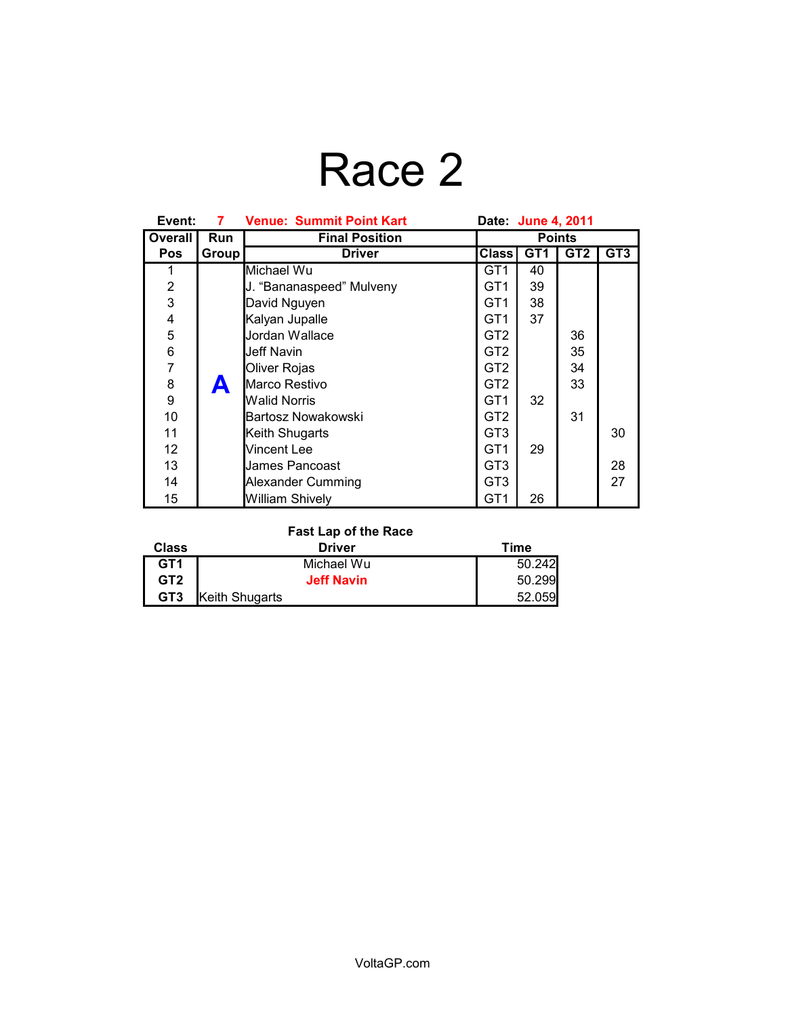# Race 2

| Event:            | 7     | <b>Venue: Summit Point Kart</b> | Date: June 4, 2011 |                 |                 |                 |
|-------------------|-------|---------------------------------|--------------------|-----------------|-----------------|-----------------|
| Overall           | Run   | <b>Final Position</b>           | <b>Points</b>      |                 |                 |                 |
| <b>Pos</b>        | Group | <b>Driver</b>                   | <b>Class</b>       | GT <sub>1</sub> | GT <sub>2</sub> | GT <sub>3</sub> |
| 1                 |       | Michael Wu                      | GT1                | 40              |                 |                 |
| 2                 |       | J. "Bananaspeed" Mulveny        | GT <sub>1</sub>    | 39              |                 |                 |
| 3                 |       | David Nguyen                    | GT1                | 38              |                 |                 |
| 4                 |       | Kalyan Jupalle                  | GT1                | 37              |                 |                 |
| 5                 |       | Jordan Wallace                  | GT2                |                 | 36              |                 |
| 6                 |       | Jeff Navin                      | GT <sub>2</sub>    |                 | 35              |                 |
| $\overline{7}$    |       | Oliver Rojas                    | GT <sub>2</sub>    |                 | 34              |                 |
| 8                 | A     | Marco Restivo                   | GT <sub>2</sub>    |                 | 33              |                 |
| 9                 |       | <b>Walid Norris</b>             | GT <sub>1</sub>    | 32              |                 |                 |
| 10                |       | Bartosz Nowakowski              | GT <sub>2</sub>    |                 | 31              |                 |
| 11                |       | Keith Shugarts                  | GT3                |                 |                 | 30              |
| $12 \overline{ }$ |       | Vincent Lee                     | GT <sub>1</sub>    | 29              |                 |                 |
| 13                |       | James Pancoast                  | GT <sub>3</sub>    |                 |                 | 28              |
| 14                |       | Alexander Cumming               | GT3                |                 |                 | 27              |
| 15                |       | <b>William Shively</b>          | GT1                | 26              |                 |                 |

#### **Fast Lap of the Race**

| <b>Class</b>    | Driver            | Time   |
|-----------------|-------------------|--------|
| GT <sub>1</sub> | Michael Wu        | 50.242 |
| GT <sub>2</sub> | <b>Jeff Navin</b> | 50.299 |
| GT <sub>3</sub> | Keith Shugarts    | 52.059 |